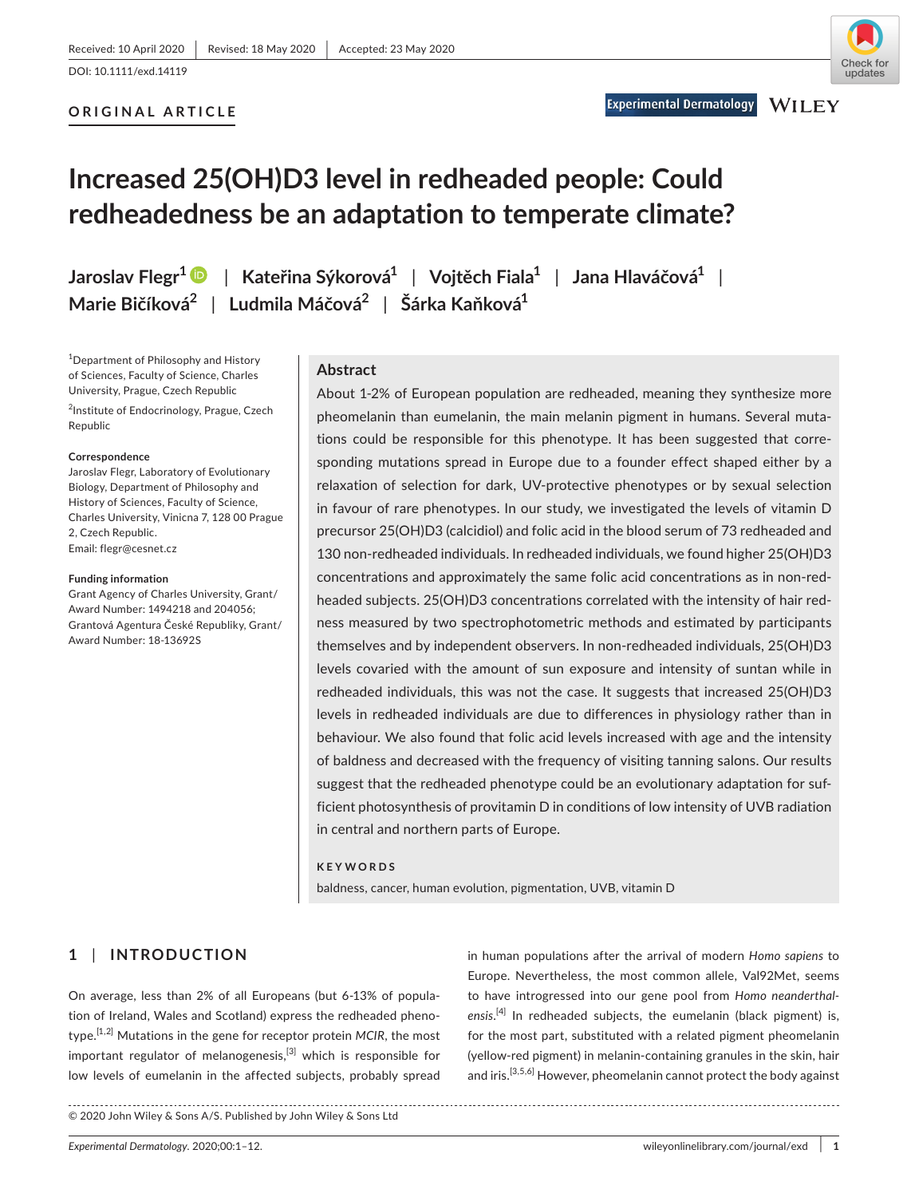**Experimental Dermatology** 

# **ORIGINAL ARTICLE**

# **Increased 25(OH)D3 level in redheaded people: Could redheadedness be an adaptation to temperate climate?**

**Jaroslav Flegr[1](https://orcid.org/0000-0002-0822-0126)** | **Kateřina Sýkorová1** | **Vojtěch Fiala1** | **Jana Hlaváčová1** | **Marie Bičíková2** | **Ludmila Máčová2** | **Šárka Kaňková1**

<sup>1</sup>Department of Philosophy and History of Sciences, Faculty of Science, Charles University, Prague, Czech Republic

<sup>2</sup>Institute of Endocrinology, Prague, Czech Republic

#### **Correspondence**

Jaroslav Flegr, Laboratory of Evolutionary Biology, Department of Philosophy and History of Sciences, Faculty of Science, Charles University, Vinicna 7, 128 00 Prague 2, Czech Republic. Email: [flegr@cesnet.cz](mailto:flegr@cesnet.cz)

#### **Funding information**

Grant Agency of Charles University, Grant/ Award Number: 1494218 and 204056; Grantová Agentura České Republiky, Grant/ Award Number: 18-13692S

# **Abstract**

About 1-2% of European population are redheaded, meaning they synthesize more pheomelanin than eumelanin, the main melanin pigment in humans. Several mutations could be responsible for this phenotype. It has been suggested that corresponding mutations spread in Europe due to a founder effect shaped either by a relaxation of selection for dark, UV-protective phenotypes or by sexual selection in favour of rare phenotypes. In our study, we investigated the levels of vitamin D precursor 25(OH)D3 (calcidiol) and folic acid in the blood serum of 73 redheaded and 130 non-redheaded individuals. In redheaded individuals, we found higher 25(OH)D3 concentrations and approximately the same folic acid concentrations as in non-redheaded subjects. 25(OH)D3 concentrations correlated with the intensity of hair redness measured by two spectrophotometric methods and estimated by participants themselves and by independent observers. In non-redheaded individuals, 25(OH)D3 levels covaried with the amount of sun exposure and intensity of suntan while in redheaded individuals, this was not the case. It suggests that increased 25(OH)D3 levels in redheaded individuals are due to differences in physiology rather than in behaviour. We also found that folic acid levels increased with age and the intensity of baldness and decreased with the frequency of visiting tanning salons. Our results suggest that the redheaded phenotype could be an evolutionary adaptation for sufficient photosynthesis of provitamin D in conditions of low intensity of UVB radiation in central and northern parts of Europe.

#### **KEYWORDS**

baldness, cancer, human evolution, pigmentation, UVB, vitamin D

# **1** | **INTRODUCTION**

On average, less than 2% of all Europeans (but 6-13% of population of Ireland, Wales and Scotland) express the redheaded phenotype.[1,2] Mutations in the gene for receptor protein *MCIR*, the most important regulator of melanogenesis,<sup>[3]</sup> which is responsible for low levels of eumelanin in the affected subjects, probably spread

in human populations after the arrival of modern *Homo sapiens* to Europe. Nevertheless, the most common allele, Val92Met, seems to have introgressed into our gene pool from *Homo neanderthal*ensis.<sup>[4]</sup> In redheaded subjects, the eumelanin (black pigment) is, for the most part, substituted with a related pigment pheomelanin (yellow-red pigment) in melanin-containing granules in the skin, hair and iris.<sup>[3,5,6]</sup> However, pheomelanin cannot protect the body against

© 2020 John Wiley & Sons A/S. Published by John Wiley & Sons Ltd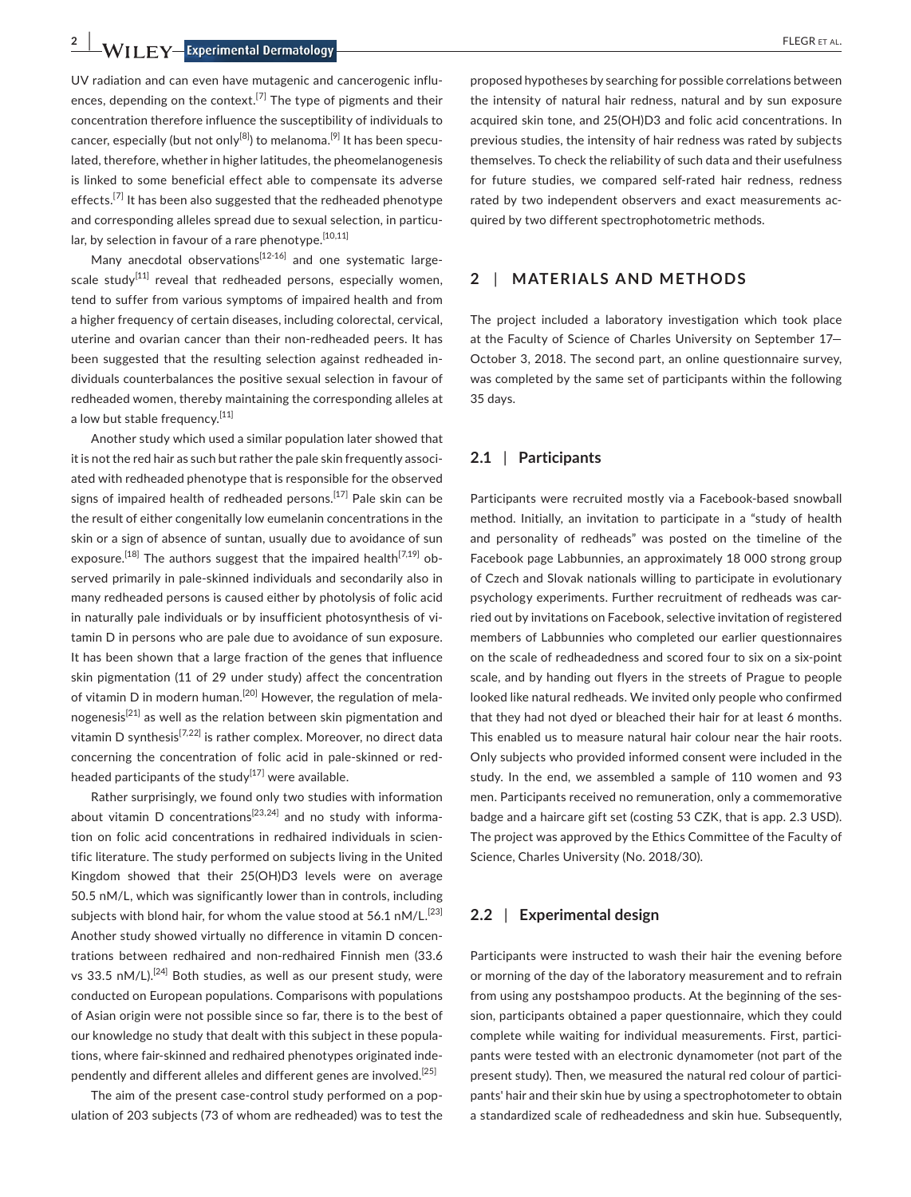**2 |**  FLEGR et al.

UV radiation and can even have mutagenic and cancerogenic influences, depending on the context.<sup>[7]</sup> The type of pigments and their concentration therefore influence the susceptibility of individuals to cancer, especially (but not only<sup>[8]</sup>) to melanoma.<sup>[9]</sup> It has been speculated, therefore, whether in higher latitudes, the pheomelanogenesis is linked to some beneficial effect able to compensate its adverse effects.<sup>[7]</sup> It has been also suggested that the redheaded phenotype and corresponding alleles spread due to sexual selection, in particular, by selection in favour of a rare phenotype.  $[10,11]$ 

Many anecdotal observations<sup>[12-16]</sup> and one systematic largescale study<sup>[11]</sup> reveal that redheaded persons, especially women, tend to suffer from various symptoms of impaired health and from a higher frequency of certain diseases, including colorectal, cervical, uterine and ovarian cancer than their non-redheaded peers. It has been suggested that the resulting selection against redheaded individuals counterbalances the positive sexual selection in favour of redheaded women, thereby maintaining the corresponding alleles at a low but stable frequency.<sup>[11]</sup>

Another study which used a similar population later showed that it is not the red hair as such but rather the pale skin frequently associated with redheaded phenotype that is responsible for the observed signs of impaired health of redheaded persons.<sup>[17]</sup> Pale skin can be the result of either congenitally low eumelanin concentrations in the skin or a sign of absence of suntan, usually due to avoidance of sun exposure.<sup>[18]</sup> The authors suggest that the impaired health<sup>[7,19]</sup> observed primarily in pale-skinned individuals and secondarily also in many redheaded persons is caused either by photolysis of folic acid in naturally pale individuals or by insufficient photosynthesis of vitamin D in persons who are pale due to avoidance of sun exposure. It has been shown that a large fraction of the genes that influence skin pigmentation (11 of 29 under study) affect the concentration of vitamin D in modern human.<sup>[20]</sup> However, the regulation of melanogenesis<sup>[21]</sup> as well as the relation between skin pigmentation and vitamin D synthesis<sup>[7,22]</sup> is rather complex. Moreover, no direct data concerning the concentration of folic acid in pale-skinned or redheaded participants of the study $^{[17]}$  were available.

Rather surprisingly, we found only two studies with information about vitamin D concentrations<sup>[23,24]</sup> and no study with information on folic acid concentrations in redhaired individuals in scientific literature. The study performed on subjects living in the United Kingdom showed that their 25(OH)D3 levels were on average 50.5 nM/L, which was significantly lower than in controls, including subjects with blond hair, for whom the value stood at 56.1 nM/L.<sup>[23]</sup> Another study showed virtually no difference in vitamin D concentrations between redhaired and non-redhaired Finnish men (33.6 vs 33.5 nM/L).<sup>[24]</sup> Both studies, as well as our present study, were conducted on European populations. Comparisons with populations of Asian origin were not possible since so far, there is to the best of our knowledge no study that dealt with this subject in these populations, where fair-skinned and redhaired phenotypes originated independently and different alleles and different genes are involved.<sup>[25]</sup>

The aim of the present case-control study performed on a population of 203 subjects (73 of whom are redheaded) was to test the proposed hypotheses by searching for possible correlations between the intensity of natural hair redness, natural and by sun exposure acquired skin tone, and 25(OH)D3 and folic acid concentrations. In previous studies, the intensity of hair redness was rated by subjects themselves. To check the reliability of such data and their usefulness for future studies, we compared self-rated hair redness, redness rated by two independent observers and exact measurements acquired by two different spectrophotometric methods.

## **2** | **MATERIALS AND METHODS**

The project included a laboratory investigation which took place at the Faculty of Science of Charles University on September 17— October 3, 2018. The second part, an online questionnaire survey, was completed by the same set of participants within the following 35 days.

# **2.1** | **Participants**

Participants were recruited mostly via a Facebook-based snowball method. Initially, an invitation to participate in a "study of health and personality of redheads" was posted on the timeline of the Facebook page Labbunnies, an approximately 18 000 strong group of Czech and Slovak nationals willing to participate in evolutionary psychology experiments. Further recruitment of redheads was carried out by invitations on Facebook, selective invitation of registered members of Labbunnies who completed our earlier questionnaires on the scale of redheadedness and scored four to six on a six-point scale, and by handing out flyers in the streets of Prague to people looked like natural redheads. We invited only people who confirmed that they had not dyed or bleached their hair for at least 6 months. This enabled us to measure natural hair colour near the hair roots. Only subjects who provided informed consent were included in the study. In the end, we assembled a sample of 110 women and 93 men. Participants received no remuneration, only a commemorative badge and a haircare gift set (costing 53 CZK, that is app. 2.3 USD). The project was approved by the Ethics Committee of the Faculty of Science, Charles University (No. 2018/30).

# **2.2** | **Experimental design**

Participants were instructed to wash their hair the evening before or morning of the day of the laboratory measurement and to refrain from using any postshampoo products. At the beginning of the session, participants obtained a paper questionnaire, which they could complete while waiting for individual measurements. First, participants were tested with an electronic dynamometer (not part of the present study). Then, we measured the natural red colour of participants' hair and their skin hue by using a spectrophotometer to obtain a standardized scale of redheadedness and skin hue. Subsequently,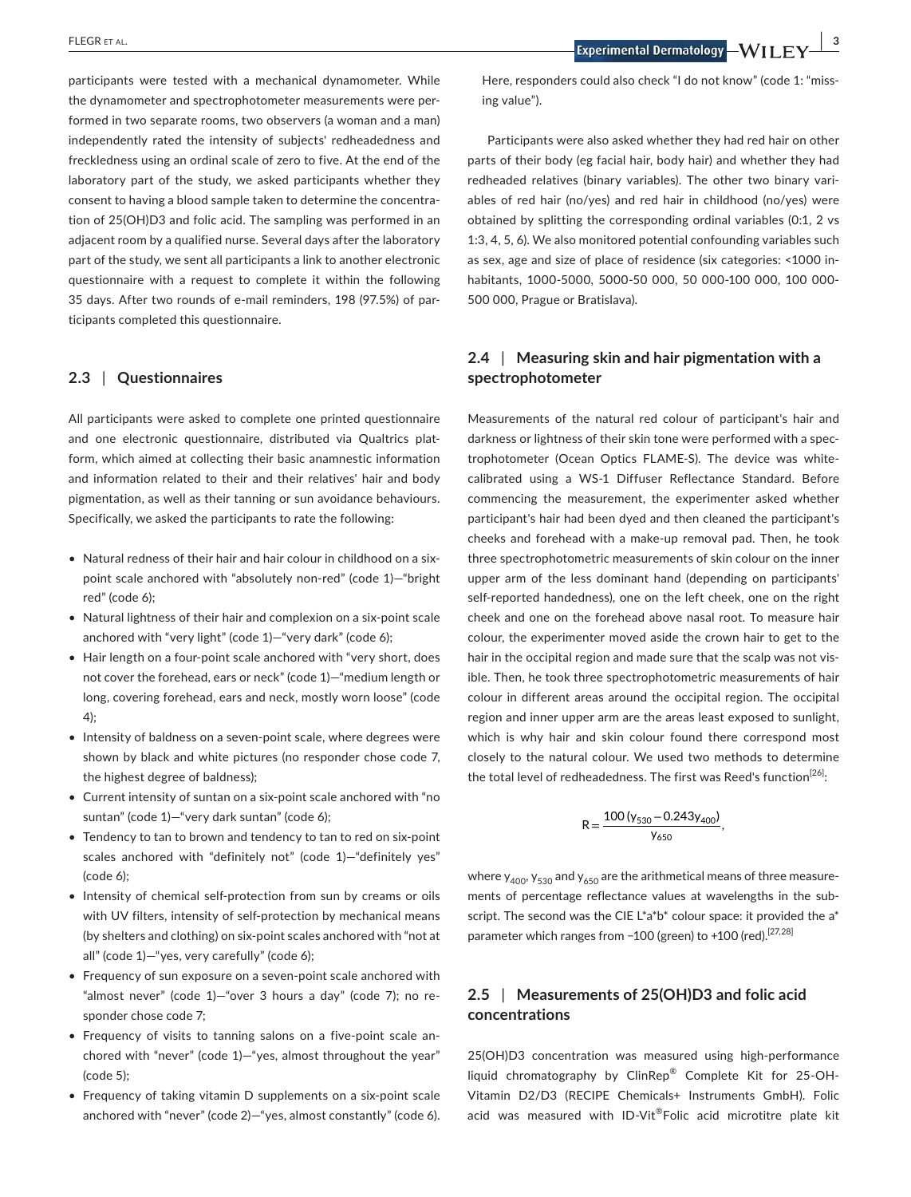participants were tested with a mechanical dynamometer. While the dynamometer and spectrophotometer measurements were performed in two separate rooms, two observers (a woman and a man) independently rated the intensity of subjects' redheadedness and freckledness using an ordinal scale of zero to five. At the end of the laboratory part of the study, we asked participants whether they consent to having a blood sample taken to determine the concentration of 25(OH)D3 and folic acid. The sampling was performed in an adjacent room by a qualified nurse. Several days after the laboratory part of the study, we sent all participants a link to another electronic questionnaire with a request to complete it within the following 35 days. After two rounds of e-mail reminders, 198 (97.5%) of participants completed this questionnaire.

## **2.3** | **Questionnaires**

All participants were asked to complete one printed questionnaire and one electronic questionnaire, distributed via Qualtrics platform, which aimed at collecting their basic anamnestic information and information related to their and their relatives' hair and body pigmentation, as well as their tanning or sun avoidance behaviours. Specifically, we asked the participants to rate the following:

- Natural redness of their hair and hair colour in childhood on a sixpoint scale anchored with "absolutely non-red" (code 1)—"bright red" (code 6);
- Natural lightness of their hair and complexion on a six-point scale anchored with "very light" (code 1)—"very dark" (code 6);
- Hair length on a four-point scale anchored with "very short, does not cover the forehead, ears or neck" (code 1)—"medium length or long, covering forehead, ears and neck, mostly worn loose" (code 4);
- Intensity of baldness on a seven-point scale, where degrees were shown by black and white pictures (no responder chose code 7, the highest degree of baldness);
- Current intensity of suntan on a six-point scale anchored with "no suntan" (code 1)—"very dark suntan" (code 6);
- Tendency to tan to brown and tendency to tan to red on six-point scales anchored with "definitely not" (code 1)—"definitely yes" (code 6);
- Intensity of chemical self-protection from sun by creams or oils with UV filters, intensity of self-protection by mechanical means (by shelters and clothing) on six-point scales anchored with "not at all" (code 1)—"yes, very carefully" (code 6);
- Frequency of sun exposure on a seven-point scale anchored with "almost never" (code 1)—"over 3 hours a day" (code 7); no responder chose code 7;
- Frequency of visits to tanning salons on a five-point scale anchored with "never" (code 1)—"yes, almost throughout the year" (code 5);
- Frequency of taking vitamin D supplements on a six-point scale anchored with "never" (code 2)—"yes, almost constantly" (code 6).

**ELEGR** ET AL. **SCIET AL. 3 EXPEDITE: EXPEDITE: EXPEDITE: EXPEDITE: EXPEDITE: EXPEDITE: EXPLEMENTAL EXPLEMENTAL EXPLEMENTAL EXPLEMENTAL EXPLEMENTAL EXPLEMENTAL EXPLEMENTAL EXPLEMENTAL EXPLEMENTAL EXPLEMENTA** 

Here, responders could also check "I do not know" (code 1: "missing value").

Participants were also asked whether they had red hair on other parts of their body (eg facial hair, body hair) and whether they had redheaded relatives (binary variables). The other two binary variables of red hair (no/yes) and red hair in childhood (no/yes) were obtained by splitting the corresponding ordinal variables (0:1, 2 vs 1:3, 4, 5, 6). We also monitored potential confounding variables such as sex, age and size of place of residence (six categories: <1000 inhabitants, 1000-5000, 5000-50 000, 50 000-100 000, 100 000- 500 000, Prague or Bratislava).

# **2.4** | **Measuring skin and hair pigmentation with a spectrophotometer**

Measurements of the natural red colour of participant's hair and darkness or lightness of their skin tone were performed with a spectrophotometer (Ocean Optics FLAME-S). The device was whitecalibrated using a WS-1 Diffuser Reflectance Standard. Before commencing the measurement, the experimenter asked whether participant's hair had been dyed and then cleaned the participant's cheeks and forehead with a make-up removal pad. Then, he took three spectrophotometric measurements of skin colour on the inner upper arm of the less dominant hand (depending on participants' self-reported handedness), one on the left cheek, one on the right cheek and one on the forehead above nasal root. To measure hair colour, the experimenter moved aside the crown hair to get to the hair in the occipital region and made sure that the scalp was not visible. Then, he took three spectrophotometric measurements of hair colour in different areas around the occipital region. The occipital region and inner upper arm are the areas least exposed to sunlight, which is why hair and skin colour found there correspond most closely to the natural colour. We used two methods to determine the total level of redheadedness. The first was Reed's function<sup>[26]</sup>:

$$
R=\frac{100\left(y_{530}-0.243y_{400}\right)}{y_{650}},
$$

where  $y_{400}$ ,  $y_{530}$  and  $y_{650}$  are the arithmetical means of three measurements of percentage reflectance values at wavelengths in the subscript. The second was the CIE L\*a\*b\* colour space: it provided the a\* parameter which ranges from -100 (green) to +100 (red).<sup>[27,28]</sup>

# **2.5** | **Measurements of 25(OH)D3 and folic acid concentrations**

25(OH)D3 concentration was measured using high-performance liquid chromatography by ClinRep® Complete Kit for 25-OH-Vitamin D2/D3 (RECIPE Chemicals+ Instruments GmbH). Folic acid was measured with ID-Vit®Folic acid microtitre plate kit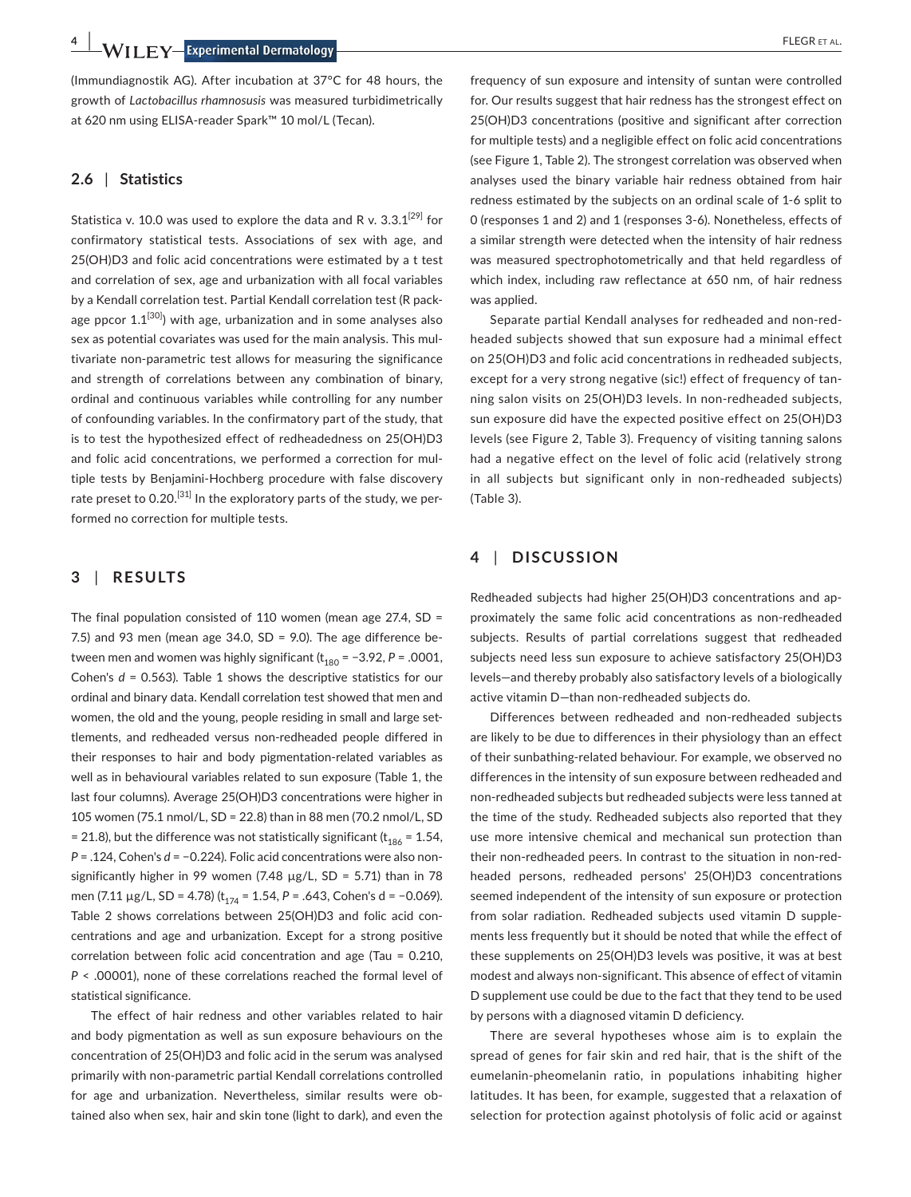**4 |**  FLEGR et al.

(Immundiagnostik AG). After incubation at 37°C for 48 hours, the growth of *Lactobacillus rhamnosusis* was measured turbidimetrically at 620 nm using ELISA-reader Spark™ 10 mol/L (Tecan).

## **2.6** | **Statistics**

Statistica v. 10.0 was used to explore the data and R v.  $3.3.1^{[29]}$  for confirmatory statistical tests. Associations of sex with age, and 25(OH)D3 and folic acid concentrations were estimated by a t test and correlation of sex, age and urbanization with all focal variables by a Kendall correlation test. Partial Kendall correlation test (R package ppcor  $1.1^{[30]}$ ) with age, urbanization and in some analyses also sex as potential covariates was used for the main analysis. This multivariate non-parametric test allows for measuring the significance and strength of correlations between any combination of binary, ordinal and continuous variables while controlling for any number of confounding variables. In the confirmatory part of the study, that is to test the hypothesized effect of redheadedness on 25(OH)D3 and folic acid concentrations, we performed a correction for multiple tests by Benjamini-Hochberg procedure with false discovery rate preset to 0.20.<sup>[31]</sup> In the exploratory parts of the study, we performed no correction for multiple tests.

# **3** | **RESULTS**

The final population consisted of 110 women (mean age 27.4, SD = 7.5) and 93 men (mean age 34.0,  $SD = 9.0$ ). The age difference between men and women was highly significant ( $t_{180}$  = -3.92, *P* = .0001, Cohen's *d* = 0.563). Table 1 shows the descriptive statistics for our ordinal and binary data. Kendall correlation test showed that men and women, the old and the young, people residing in small and large settlements, and redheaded versus non-redheaded people differed in their responses to hair and body pigmentation-related variables as well as in behavioural variables related to sun exposure (Table 1, the last four columns). Average 25(OH)D3 concentrations were higher in 105 women (75.1 nmol/L, SD = 22.8) than in 88 men (70.2 nmol/L, SD = 21.8), but the difference was not statistically significant ( $t_{186}$  = 1.54, *P* = .124, Cohen's *d* = −0.224). Folic acid concentrations were also nonsignificantly higher in 99 women (7.48  $\mu$ g/L, SD = 5.71) than in 78 men (7.11 μg/L, SD = 4.78) (t<sub>174</sub> = 1.54, P = .643, Cohen's d = -0.069). Table 2 shows correlations between 25(OH)D3 and folic acid concentrations and age and urbanization. Except for a strong positive correlation between folic acid concentration and age (Tau = 0.210, *P* < .00001), none of these correlations reached the formal level of statistical significance.

The effect of hair redness and other variables related to hair and body pigmentation as well as sun exposure behaviours on the concentration of 25(OH)D3 and folic acid in the serum was analysed primarily with non-parametric partial Kendall correlations controlled for age and urbanization. Nevertheless, similar results were obtained also when sex, hair and skin tone (light to dark), and even the

frequency of sun exposure and intensity of suntan were controlled for. Our results suggest that hair redness has the strongest effect on 25(OH)D3 concentrations (positive and significant after correction for multiple tests) and a negligible effect on folic acid concentrations (see Figure 1, Table 2). The strongest correlation was observed when analyses used the binary variable hair redness obtained from hair redness estimated by the subjects on an ordinal scale of 1-6 split to 0 (responses 1 and 2) and 1 (responses 3-6). Nonetheless, effects of a similar strength were detected when the intensity of hair redness was measured spectrophotometrically and that held regardless of which index, including raw reflectance at 650 nm, of hair redness was applied.

Separate partial Kendall analyses for redheaded and non-redheaded subjects showed that sun exposure had a minimal effect on 25(OH)D3 and folic acid concentrations in redheaded subjects, except for a very strong negative (sic!) effect of frequency of tanning salon visits on 25(OH)D3 levels. In non-redheaded subjects, sun exposure did have the expected positive effect on 25(OH)D3 levels (see Figure 2, Table 3). Frequency of visiting tanning salons had a negative effect on the level of folic acid (relatively strong in all subjects but significant only in non-redheaded subjects) (Table 3).

# **4** | **DISCUSSION**

Redheaded subjects had higher 25(OH)D3 concentrations and approximately the same folic acid concentrations as non-redheaded subjects. Results of partial correlations suggest that redheaded subjects need less sun exposure to achieve satisfactory 25(OH)D3 levels—and thereby probably also satisfactory levels of a biologically active vitamin D—than non-redheaded subjects do.

Differences between redheaded and non-redheaded subjects are likely to be due to differences in their physiology than an effect of their sunbathing-related behaviour. For example, we observed no differences in the intensity of sun exposure between redheaded and non-redheaded subjects but redheaded subjects were less tanned at the time of the study. Redheaded subjects also reported that they use more intensive chemical and mechanical sun protection than their non-redheaded peers. In contrast to the situation in non-redheaded persons, redheaded persons' 25(OH)D3 concentrations seemed independent of the intensity of sun exposure or protection from solar radiation. Redheaded subjects used vitamin D supplements less frequently but it should be noted that while the effect of these supplements on 25(OH)D3 levels was positive, it was at best modest and always non-significant. This absence of effect of vitamin D supplement use could be due to the fact that they tend to be used by persons with a diagnosed vitamin D deficiency.

There are several hypotheses whose aim is to explain the spread of genes for fair skin and red hair, that is the shift of the eumelanin-pheomelanin ratio, in populations inhabiting higher latitudes. It has been, for example, suggested that a relaxation of selection for protection against photolysis of folic acid or against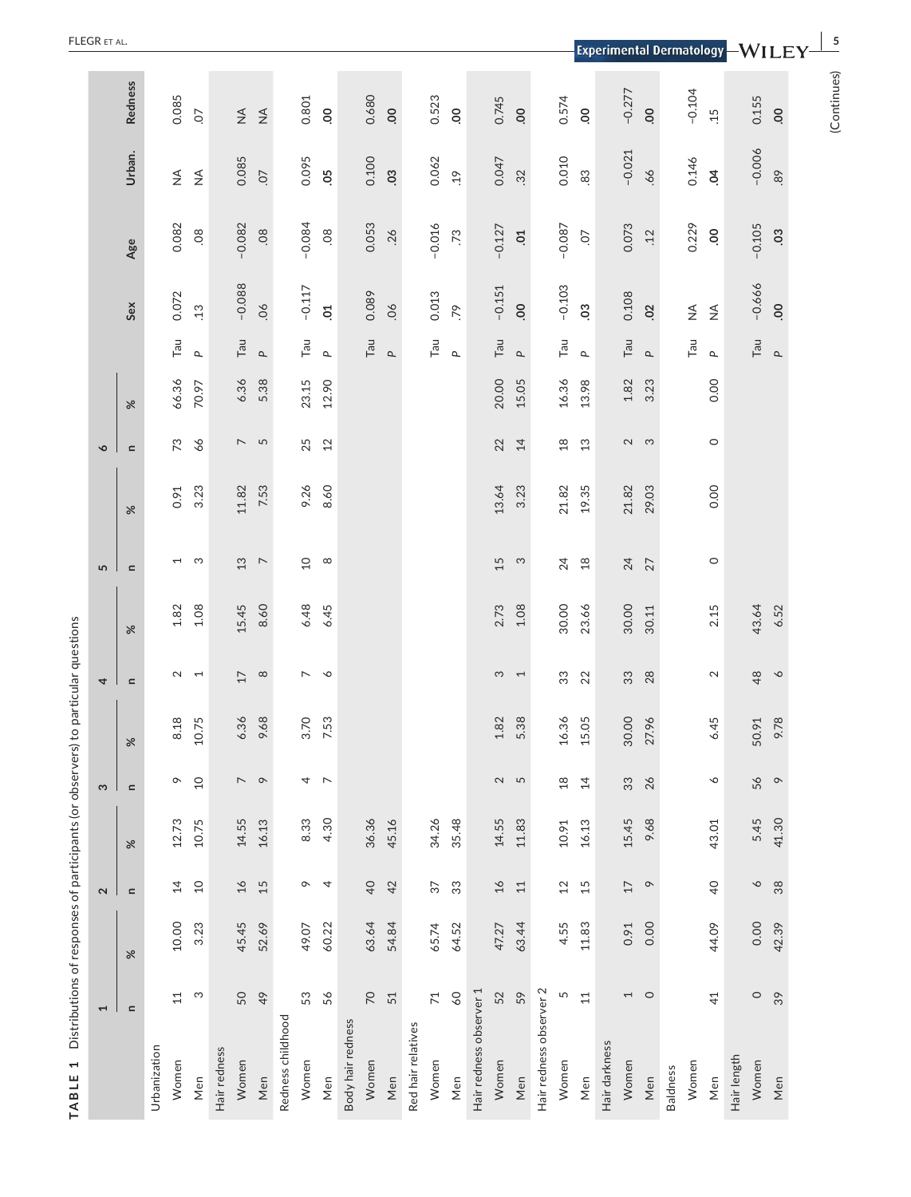| ļ                       |
|-------------------------|
|                         |
| i.                      |
|                         |
| :<br>:                  |
| $-4$ and $-4$ and $-4$  |
|                         |
|                         |
|                         |
| I<br>l                  |
| $\frac{1}{2}$           |
|                         |
| .<br>.<br>.<br>.<br>.   |
|                         |
|                         |
|                         |
|                         |
|                         |
| こうりょう いんりょうりょう しょう      |
|                         |
|                         |
|                         |
| i                       |
| Ĺ<br>١                  |
| 1                       |
| ı<br>J                  |
| $\frac{1}{1}$<br>ì<br>r |

| $\mathbf{r}$<br>TABLE   |                 | Distributions of responses of participants (or observer |                     |       |                          | s) to particular questions |                          |          |                          |          |                          |          |                             |                              |                |                                  |                |
|-------------------------|-----------------|---------------------------------------------------------|---------------------|-------|--------------------------|----------------------------|--------------------------|----------|--------------------------|----------|--------------------------|----------|-----------------------------|------------------------------|----------------|----------------------------------|----------------|
|                         | $\overline{ }$  |                                                         | $\boldsymbol{\sim}$ |       | $\boldsymbol{\varsigma}$ |                            | 4                        |          | 5                        |          | $\bullet$                |          |                             |                              |                |                                  |                |
|                         | $\mathbf{C}$    | $\%$                                                    | $\simeq$            | $\%$  | $\mathbf{C}$             | $\%$                       | $\simeq$                 | $\aleph$ | $\equiv$                 | $\aleph$ | $\mathbf{r}$             | $\aleph$ |                             | Sex                          | Age            | Urban.                           | <b>Redness</b> |
| Urbanization            |                 |                                                         |                     |       |                          |                            |                          |          |                          |          |                          |          |                             |                              |                |                                  |                |
| Women                   | 11              | 10.00                                                   | $\overline{4}$      | 12.73 | $\sim$                   | 8.18                       | $\mathbf 2$              | 1.82     | $\overline{ }$           | 0.91     | 73                       | 66.36    | Tan                         | 0.072                        | 0.082          | $\stackrel{\triangleleft}{\geq}$ | 0.085          |
| Men                     | S               | 3.23                                                    | $\overline{10}$     | 10.75 | $\overline{10}$          | 10.75                      | $\overline{ }$           | $1.08$   | က                        | 3.23     | 66                       | 70.97    | $\Delta$                    | $\ddot{.}13$                 | 08             | $\stackrel{\triangleleft}{\geq}$ | $\overline{O}$ |
| Hair redness            |                 |                                                         |                     |       |                          |                            |                          |          |                          |          |                          |          |                             |                              |                |                                  |                |
| Women                   | 50              | 45.45                                                   | $\Delta t$          | 14.55 | $\sim$ $\circ$           | 6.36                       | 17                       | 15.45    | $13$                     | 11.82    | $\overline{\phantom{a}}$ | 6.36     | $\ensuremath{\mathsf{Tau}}$ | $-0.088$                     | $-0.082$       | 0.085                            | $\lessgtr$     |
| Men                     | 49              | 52.69                                                   | 15                  | 16.13 |                          | 9.68                       | $\infty$                 | 8.60     | $\overline{\phantom{0}}$ | 7.53     | 5                        | 5.38     | $\Delta$                    | 06                           | 08             | $\overline{O}$                   | $\lessgtr$     |
| Redness childhood       |                 |                                                         |                     |       |                          |                            |                          |          |                          |          |                          |          |                             |                              |                |                                  |                |
| Women                   | 53              | 49.07                                                   | $\circ$             | 8.33  | 4                        | 3.70                       | $\overline{\phantom{0}}$ | 6.48     | $\overline{a}$           | 9.26     | 25                       | 23.15    | Tan                         | $-0.117$                     | $-0.084$       | 0.095                            | 0.801          |
| Men                     | 56              | 60.22                                                   | $\overline{4}$      | 4.30  | $\overline{ }$           | 7.53                       | $\sim$                   | 6.45     | $\infty$                 | 8.60     | 12                       | 12.90    | $\Delta$                    | $\overline{c}$               | 08             | 0 <sub>5</sub>                   | $\overline{0}$ |
| Body hair redness       |                 |                                                         |                     |       |                          |                            |                          |          |                          |          |                          |          |                             |                              |                |                                  |                |
| Women                   | $\overline{C}$  | 63.64                                                   | $\overline{40}$     | 36.36 |                          |                            |                          |          |                          |          |                          |          | $\ensuremath{\mathsf{Tau}}$ | 0.089                        | 0.053          | 0.100                            | 0.680          |
| Men                     | 51              | 54.84                                                   | 42                  | 45.16 |                          |                            |                          |          |                          |          |                          |          | $\Delta$                    | 06                           | .26            | $\overline{0}$                   | 00             |
| Red hair relatives      |                 |                                                         |                     |       |                          |                            |                          |          |                          |          |                          |          |                             |                              |                |                                  |                |
| Women                   | $\overline{71}$ | 65.74                                                   | 57                  | 34.26 |                          |                            |                          |          |                          |          |                          |          | $\ensuremath{\mathsf{Tau}}$ | 0.013                        | $-0.016$       | 0.062                            | 0.523          |
| Men                     | $^{06}$         | 64.52                                                   | 33                  | 35.48 |                          |                            |                          |          |                          |          |                          |          | $\mathbf{r}$                | .79                          | $\ddot{z}$     | $\ddot{c}$                       | $\overline{0}$ |
| Hair redness observer 1 |                 |                                                         |                     |       |                          |                            |                          |          |                          |          |                          |          |                             |                              |                |                                  |                |
| Women                   | 52              | 47.27                                                   | $\overline{16}$     | 14.55 | $\sim$                   | 1.82                       | S                        | 2.73     | 15                       | 13.64    | 22                       | 20.00    | $\mathsf{Tau}$              | $-0.151$                     | $-0.127$       | 0.047                            | 0.745          |
| Men                     | 59              | 63.44                                                   | $11$                | 11.83 | 5                        | 5.38                       | $\overline{ }$           | $1.08$   | က                        | 3.23     | 14                       | 15.05    | $\Delta$                    | 00                           | $\Xi$          | 32                               | $\mathbf{S}$   |
| Hair redness observer 2 |                 |                                                         |                     |       |                          |                            |                          |          |                          |          |                          |          |                             |                              |                |                                  |                |
| Women                   | 5               | 4.55                                                    | 12                  | 10.91 | $\frac{8}{10}$           | 16.36                      | 33                       | 30.00    | 24                       | 21.82    | $^{28}$                  | 16.36    | $\mathsf{Tau}$              | $-0.103$                     | $-0.087$       | 0.010                            | 0.574          |
| Men                     | $11$            | 11.83                                                   | 15                  | 16.13 | 14                       | 15.05                      | 22                       | 23.66    | $18$                     | 19.35    | 13                       | 13.98    | $\mathbf{r}$                | $\mathbf{S}$                 | CO.            | 83                               | $\overline{0}$ |
| Hair darkness           |                 |                                                         |                     |       |                          |                            |                          |          |                          |          |                          |          |                             |                              |                |                                  |                |
| Women                   | $\overline{1}$  | 0.91                                                    | $17\,$              | 15.45 | 33                       | 30.00                      | 33                       | 30.00    | 24                       | 21.82    |                          | 1.82     | $\mathsf{Tau}$              | 0.108                        | 0.073          | $-0.021$                         | $-0.277$       |
| Men                     | $\circ$         | 0.00                                                    | $\circ$             | 9.68  | 26                       | 27.96                      | 28                       | 30.11    | 27                       | 29.03    | $\sim$ $\sim$            | 3.23     | $\Delta$                    | $\overline{c}$               | .12            | $-66$                            | 00             |
| <b>Baldness</b>         |                 |                                                         |                     |       |                          |                            |                          |          |                          |          |                          |          |                             |                              |                |                                  |                |
| Women                   |                 |                                                         |                     |       |                          |                            |                          |          |                          |          |                          |          | Tau                         | $\stackrel{\triangle}{\geq}$ | 0.229          | 0.146                            | $-0.104$       |
| Men                     | 41              | 44.09                                                   | $\overline{0}$      | 43.01 | $\mathsf{\circ}$         | 6.45                       | $\mathbf 2$              | 2.15     | $\circ$                  | 0.00     | $\circ$                  | 0.00     | $\mathbf{r}$                | $\frac{4}{2}$                | $\overline{0}$ | $\overline{5}$                   | 15             |
| Hair length             |                 |                                                         |                     |       |                          |                            |                          |          |                          |          |                          |          |                             |                              |                |                                  |                |
| Women                   | $\circ$         | 0.00                                                    | $\infty$            | 5.45  | 56                       | 50.91                      | 48                       | 43.64    |                          |          |                          |          | Tan                         | $-0.666$                     | $-0.105$       | $-0.006$                         | 0.155          |
| Men                     | $\sqrt{3}$      | 42.39                                                   | 38                  | 41.30 | $\circ$                  | 9.78                       | $\infty$                 | 6.52     |                          |          |                          |          | $\mathtt{a}$                | 00                           | $\overline{0}$ | .89                              | OO.            |
|                         |                 |                                                         |                     |       |                          |                            |                          |          |                          |          |                          |          |                             |                              |                |                                  | (Continues)    |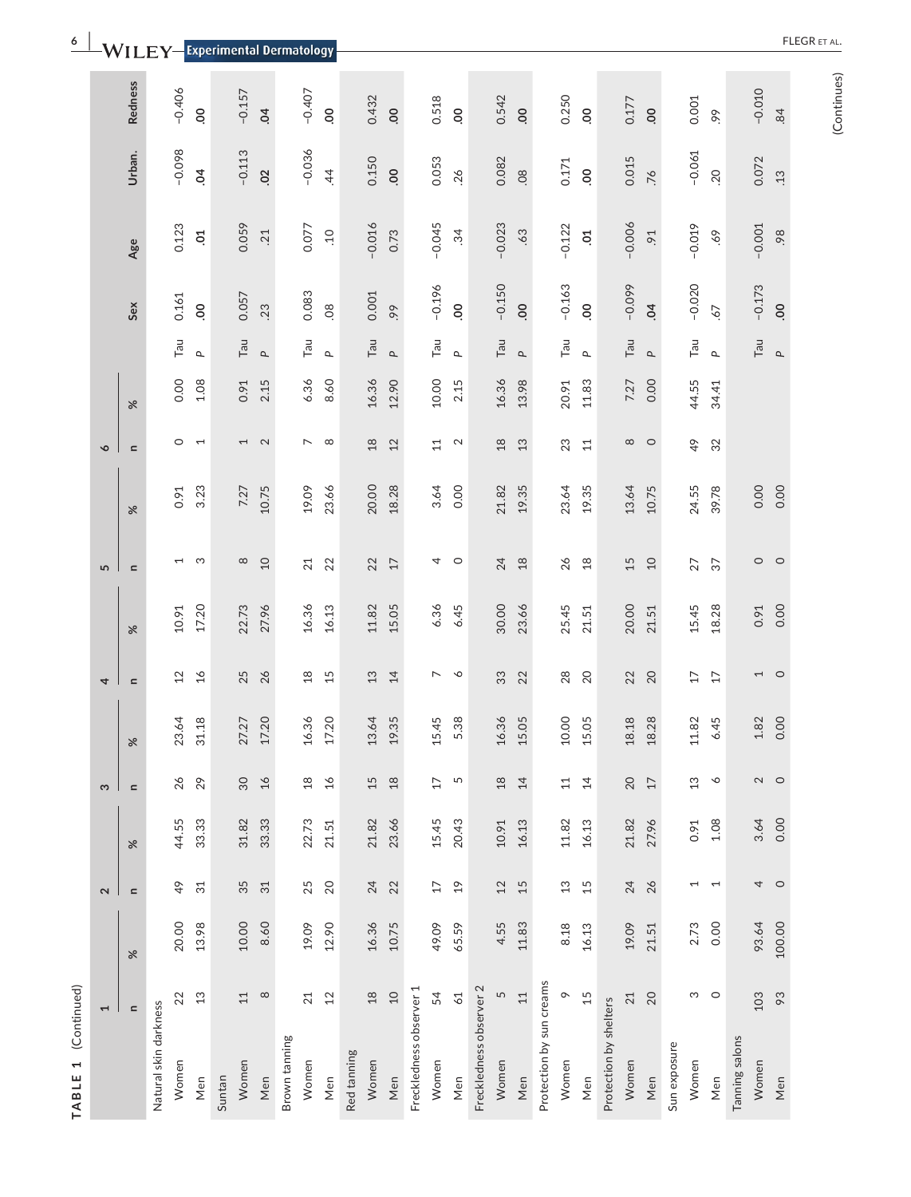| ۳<br>۰ |
|--------|
|        |
|        |
| г      |

|                   | <b>Redness</b> |                       | $-0.406$                 | $\overline{0}$  |        | $-0.157$       | $\overline{5}$    |               | $-0.407$                 | $\overline{0}$ |             | 0.432    | 00       |                         | 0.518           | OO.                   |                         | 0.542    | 00           |                          | 0.250    | OO.            |                        | 0.177        | $\overline{0}$ |              | 0.001                    | 99                       |                | $-0.010$    | .84      |
|-------------------|----------------|-----------------------|--------------------------|-----------------|--------|----------------|-------------------|---------------|--------------------------|----------------|-------------|----------|----------|-------------------------|-----------------|-----------------------|-------------------------|----------|--------------|--------------------------|----------|----------------|------------------------|--------------|----------------|--------------|--------------------------|--------------------------|----------------|-------------|----------|
|                   | Urban.         |                       | $-0.098$                 | $\overline{5}$  |        | $-0.113$       | 02                |               | $-0.036$                 | 44             |             | 0.150    | 00       |                         | 0.053           | .26                   |                         | 0.082    | 08           |                          | 0.171    | OO.            |                        | 0.015        | $\overline{5}$ |              | $-0.061$                 | .20                      |                | 0.072       | .13      |
|                   | Age            |                       | 0.123                    | $\overline{c}$  |        | 0.059          | .21               |               | 0.077                    | $\overline{c}$ |             | $-0.016$ | 0.73     |                         | $-0.045$        | 34                    |                         | $-0.023$ | .63          |                          | $-0.122$ | $50$ .         |                        | $-0.006$     | 5 <sup>o</sup> |              | $-0.019$                 | 69.                      |                | $-0.001$    | 98.      |
|                   | Sex            |                       | 0.161                    | OO.             |        | 0.057          | .23               |               | 0.083                    | 08             |             | 0.001    | 99       |                         | $-0.196$        | 00                    |                         | $-0.150$ | 00           |                          | $-0.163$ | 00             |                        | $-0.099$     | $\overline{6}$ |              | $-0.020$                 | 67                       |                | $-0.173$    | 00       |
|                   |                |                       | Tau                      | $\Delta$        |        | Tau            | $\Delta$          |               | Tau                      | $\Delta$       |             | Tan      | $\Delta$ |                         | Tau             | $\Delta$              |                         | Tau      | $\mathbf{r}$ |                          | Tau      | $\mathbf{r}$   |                        | Tau          | $\Delta$       |              | Tau                      | $\mathbf{r}$             |                | Tau         | $\Delta$ |
|                   | $\%$           |                       | 0.00                     | 1.08            |        | 0.91           | 2.15              |               | 6.36                     | 8.60           |             | 16.36    | 12.90    |                         | 10.00           | 2.15                  |                         | 16.36    | 13.98        |                          | 20.91    | 11.83          |                        | 7.27         | 0.00           |              | 44.55                    | 34.41                    |                |             |          |
| $\circ$           | $\mathbf{C}$   |                       | $\circ$                  | $\overline{ }$  |        | $\overline{ }$ | $\mathbf{\Omega}$ |               | $\overline{\phantom{0}}$ | $\infty$       |             | $18$     | 12       |                         | $\overline{11}$ | $\sim$                |                         | $^{28}$  | 13           |                          | 23       | 11             |                        | ${}^{\circ}$ | $\circ$        |              | $\frac{6}{7}$            | 32                       |                |             |          |
|                   | $\aleph$       |                       | 0.91                     | 3.23            |        | 7.27           | 10.75             |               | 19.09                    | 23.66          |             | 20.00    | 18.28    |                         | 3.64            | 0.00                  |                         | 21.82    | 19.35        |                          | 23.64    | 19.35          |                        | 13.64        | 10.75          |              | 24.55                    | 39.78                    |                | 0.00        | 0.00     |
| 5                 | $\simeq$       |                       | $\overline{\phantom{0}}$ | S               |        | ${}^{\circ}$   | $\Omega$          |               | 21                       | 22             |             | 22       | 17       |                         | 4               | $\circ$               |                         | 24       | 18           |                          | 26       | $\frac{8}{10}$ |                        | 15           | $\Omega$       |              | 27                       | $\overline{37}$          |                | $\circ$     | $\circ$  |
|                   | $\aleph$       |                       | 10.91                    | 17.20           |        | 22.73          | 27.96             |               | 16.36                    | 16.13          |             | 11.82    | 15.05    |                         | 6.36            | 6.45                  |                         | 30.00    | 23.66        |                          | 25.45    | 21.51          |                        | 20.00        | 21.51          |              | 15.45                    | 18.28                    |                | 0.91        | 0.00     |
| 4                 | $\blacksquare$ |                       | 12                       | $\frac{1}{6}$   |        | 25             | 26                |               | $\frac{8}{18}$           | 15             |             | 13       | 14       |                         | $\overline{ }$  | $\breve{\phantom{a}}$ |                         | 33       | 22           |                          | 28       | 20             |                        | 22           | 20             |              | 17                       | 17                       |                | 1           | $\circ$  |
|                   | $\aleph$       |                       | 23.64                    | 31.18           |        | 27.27          | 17.20             |               | 16.36                    | 17.20          |             | 13.64    | 19.35    |                         | 5.45            | 5.38                  |                         | 16.36    | 15.05        |                          | 10.00    | 5.05           |                        | 18.18        | 18.28          |              | 11.82                    | 6.45                     |                | 1.82        | 0.00     |
| S                 | $\mathbf{C}$   |                       | 26                       | 29              |        | 30             | 16                |               | $\frac{8}{16}$           | 16             |             | 15       | $18$     |                         | 17              | 5                     |                         | 18       | 14           |                          | 11       | $\overline{4}$ |                        | 20           | $17\,$         |              | 13                       | ╰                        |                | $\mathbf 2$ | $\circ$  |
|                   | $\aleph$       |                       | 44.55                    | 33.33           |        | 31.82          | 33.33             |               | 22.73                    | 21.51          |             | 21.82    | 23.66    |                         | 15.45           | 20.43                 |                         | 10.91    | 16.13        |                          | 11.82    | 16.13          |                        | 21.82        | 27.96          |              | 0.91                     | 1.08                     |                | 3.64        | 0.00     |
| $\mathbf{\Omega}$ | $\mathbf{C}$   |                       | $\frac{6}{7}$            | $\overline{31}$ |        | 35             | 31                |               | 25                       | 20             |             | 24       | 22       |                         | 17              | $\frac{1}{2}$         |                         | 12       | 15           |                          | 13       | 15             |                        | 24           | 26             |              | $\overline{\phantom{0}}$ | $\overline{\phantom{0}}$ |                | 4           | $\circ$  |
|                   | $\aleph$       |                       | 20.00                    | 13.98           |        | 10.00          | 8.60              |               | 19.09                    | 12.90          |             | 16.36    | 10.75    |                         | 49.09           | 65.59                 |                         | 4.55     | 11.83        |                          | 8.18     | 16.13          |                        | 19.09        | 21.51          |              | 2.73                     | 0.00                     |                | 93.64       | 100.00   |
| Ţ                 | $\mathbf{C}$   |                       | 22                       | 13              |        | $\Xi$          | $\infty$          |               | 21                       | 12             |             | $18$     | $10$     |                         | 54              | $61$                  |                         | 5        | 11           |                          | $\circ$  | 15             |                        | 21           | 20             |              | ω                        | $\circ$                  |                | 103         | 83       |
|                   |                | Natural skin darkness | Women                    | Men             | Suntan | Women          | Men               | Brown tanning | Women                    | Men            | Red tanning | Women    | Men      | Freckledness observer 1 | Women           | Men                   | Freckledness observer 2 | Women    | Men          | Protection by sun creams | Women    | Men            | Protection by shelters | Women        | Men            | Sun exposure | Women                    | Men                      | Tanning salons | Women       | Men      |

**6 a Little TLEGR Experimental Description** 

(Continues) (Continues)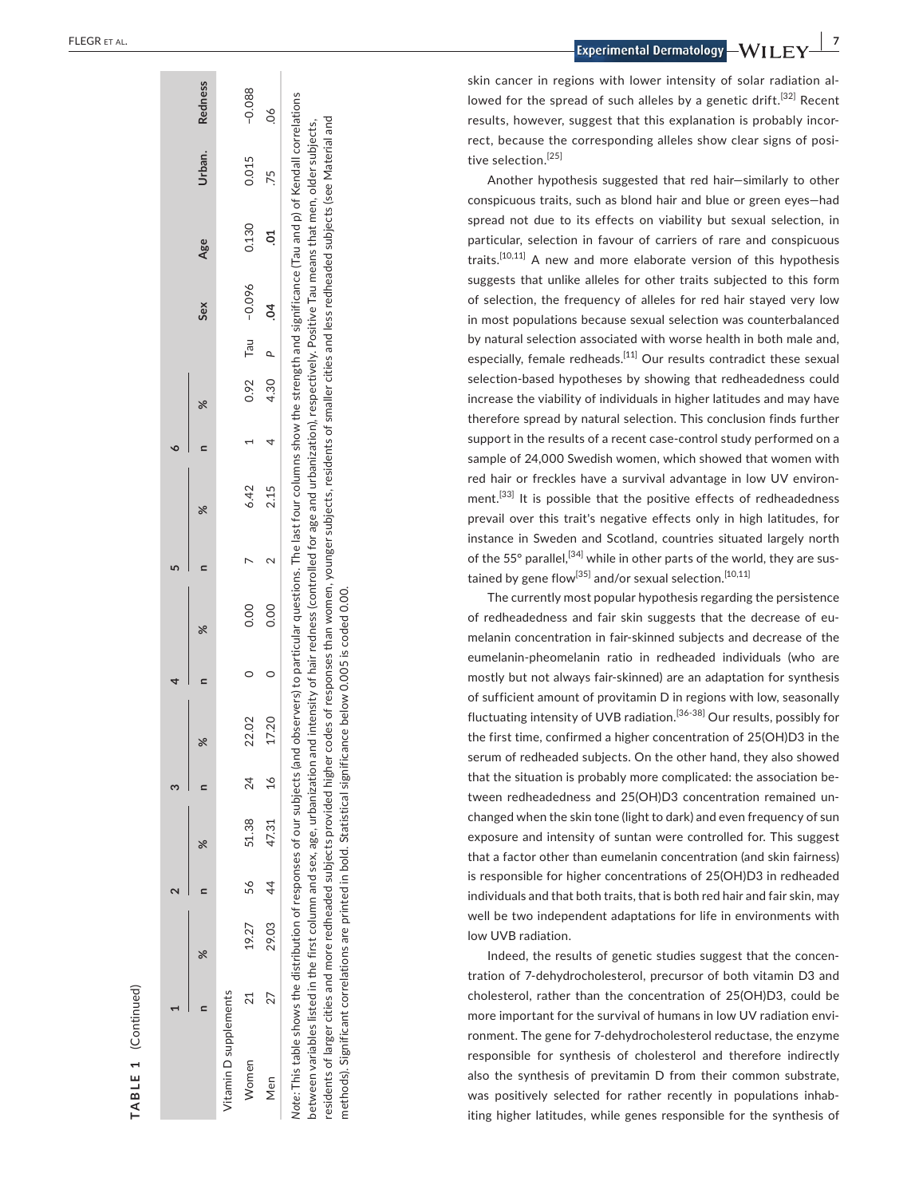| ٥                       | ৯ৎ<br>$\mathbf{a}$ |                                          |
|-------------------------|--------------------|------------------------------------------|
|                         | X                  |                                          |
| Í<br>١                  | $\mathbf{r}$       |                                          |
|                         | X                  |                                          |
| Ĵ                       | $\mathbf{r}$       |                                          |
|                         | X                  |                                          |
| 3                       | $\mathbf{r}$       |                                          |
|                         | X                  |                                          |
| J<br>$\mathbf{\hat{c}}$ | $\mathbf{r}$       |                                          |
|                         | $\aleph$           |                                          |
| ł                       | $\mathbf{r}$       | $\frac{1}{2}$<br>lemer<br>Ś              |
|                         |                    | cim<br>j<br>3<br>$\overline{ }$<br>itami |
|                         |                    |                                          |

**TABLE 1** 

TABLE 1

(Continued)

(Continued)

**Sex Age Urban. Redness**

Age

Sex

Urban.

**Redness** 

 $-0.088$ 

0.015 .75

0.130  $\overline{c}$ 

 $-0.096$  $\overline{5}$ 

Tau  $\overline{a}$ 

4.30 0.92

 $\overline{4}$ 

 $\sim$  $\triangleright$ 

0.00  $0.00$ 

 $\delta$ 

Note: This table shows the distribution of responses of our subjects (and observers) to particular questions. The last four columns show the strength and significance (Tau and p) of Kendall correlations *Note:* This table shows the distribution of responses of our subjects (and observers) to particular questions. The last four columns show the strength and significance (Tau and p) of Kendall correlations residents of larger cities and more redheaded subjects provided higher codes of responses than women, younger subjects, residents of smaller cities and less redheaded subjects (see Material and residents of larger cities and more redheaded subjects provided higher codes of responses than women, younger subjects, residents of smaller cities and less redheaded subjects (see Material and between variables listed in the first column and sex, age, urbanization and intensity of hair redness (controlled for age and urbanization), respectively. Positive Tau means that men, older subjects, between variables listed in the first column and sex, age, urbanization and intensity of hair redness (controlled for age and urbanization), respectively. Positive Tau means that men, older subjects, methods). Significant correlations are printed in bold. Statistical significance below 0.005 is coded 0.00. methods). Significant correlations are printed in bold. Statistical significance below 0.005 is coded 0.00

Women 21 19.27 56 51.38 24 24 22.02 0 0.00 0.00 0.32.02 1 1 1 1 0.015 −0.038 Men 27 29.03 44 47.31 16 16 16 17.31 17.31 17.31 17.31 17.5 17.5 17.5 17.5 17.5 .06

 $\circ$  $\circ$ 

22.02 17.20

24  $\frac{1}{6}$ 

51.38 47.31

56  $\overline{4}$ 

 $21$ 27

Women Men

29.03 19.27

6.42 2.15

skin cancer in regions with lower intensity of solar radiation al lowed for the spread of such alleles by a genetic drift.<sup>[32]</sup> Recent results, however, suggest that this explanation is probably incor rect, because the corresponding alleles show clear signs of posi tive selection.<sup>[25]</sup>

Another hypothesis suggested that red hair—similarly to other conspicuous traits, such as blond hair and blue or green eyes—had spread not due to its effects on viability but sexual selection, in particular, selection in favour of carriers of rare and conspicuous traits.<sup>[10,11]</sup> A new and more elaborate version of this hypothesis suggests that unlike alleles for other traits subjected to this form of selection, the frequency of alleles for red hair stayed very low in most populations because sexual selection was counterbalanced by natural selection associated with worse health in both male and, especially, female redheads.<sup>[11]</sup> Our results contradict these sexual selection-based hypotheses by showing that redheadedness could increase the viability of individuals in higher latitudes and may have therefore spread by natural selection. This conclusion finds further support in the results of a recent case-control study performed on a sample of 24,000 Swedish women, which showed that women with red hair or freckles have a survival advantage in low UV environ ment.<sup>[33]</sup> It is possible that the positive effects of redheadedness prevail over this trait's negative effects only in high latitudes, for instance in Sweden and Scotland, countries situated largely north of the 55° parallel,<sup>[34]</sup> while in other parts of the world, they are sustained by gene flow<sup>[35]</sup> and/or sexual selection.<sup>[10,11]</sup>

The currently most popular hypothesis regarding the persistence of redheadedness and fair skin suggests that the decrease of eu melanin concentration in fair-skinned subjects and decrease of the eumelanin-pheomelanin ratio in redheaded individuals (who are mostly but not always fair-skinned) are an adaptation for synthesis of sufficient amount of provitamin D in regions with low, seasonally fluctuating intensity of UVB radiation.<sup>[36-38]</sup> Our results, possibly for the first time, confirmed a higher concentration of 25(OH)D3 in the serum of redheaded subjects. On the other hand, they also showed that the situation is probably more complicated: the association be tween redheadedness and 25(OH)D3 concentration remained un changed when the skin tone (light to dark) and even frequency of sun exposure and intensity of suntan were controlled for. This suggest that a factor other than eumelanin concentration (and skin fairness) is responsible for higher concentrations of 25(OH)D3 in redheaded individuals and that both traits, that is both red hair and fair skin, may well be two independent adaptations for life in environments with low UVB radiation.

Indeed, the results of genetic studies suggest that the concen tration of 7-dehydrocholesterol, precursor of both vitamin D3 and cholesterol, rather than the concentration of 25(OH)D3, could be more important for the survival of humans in low UV radiation envi ronment. The gene for 7-dehydrocholesterol reductase, the enzyme responsible for synthesis of cholesterol and therefore indirectly also the synthesis of previtamin D from their common substrate, was positively selected for rather recently in populations inhab iting higher latitudes, while genes responsible for the synthesis of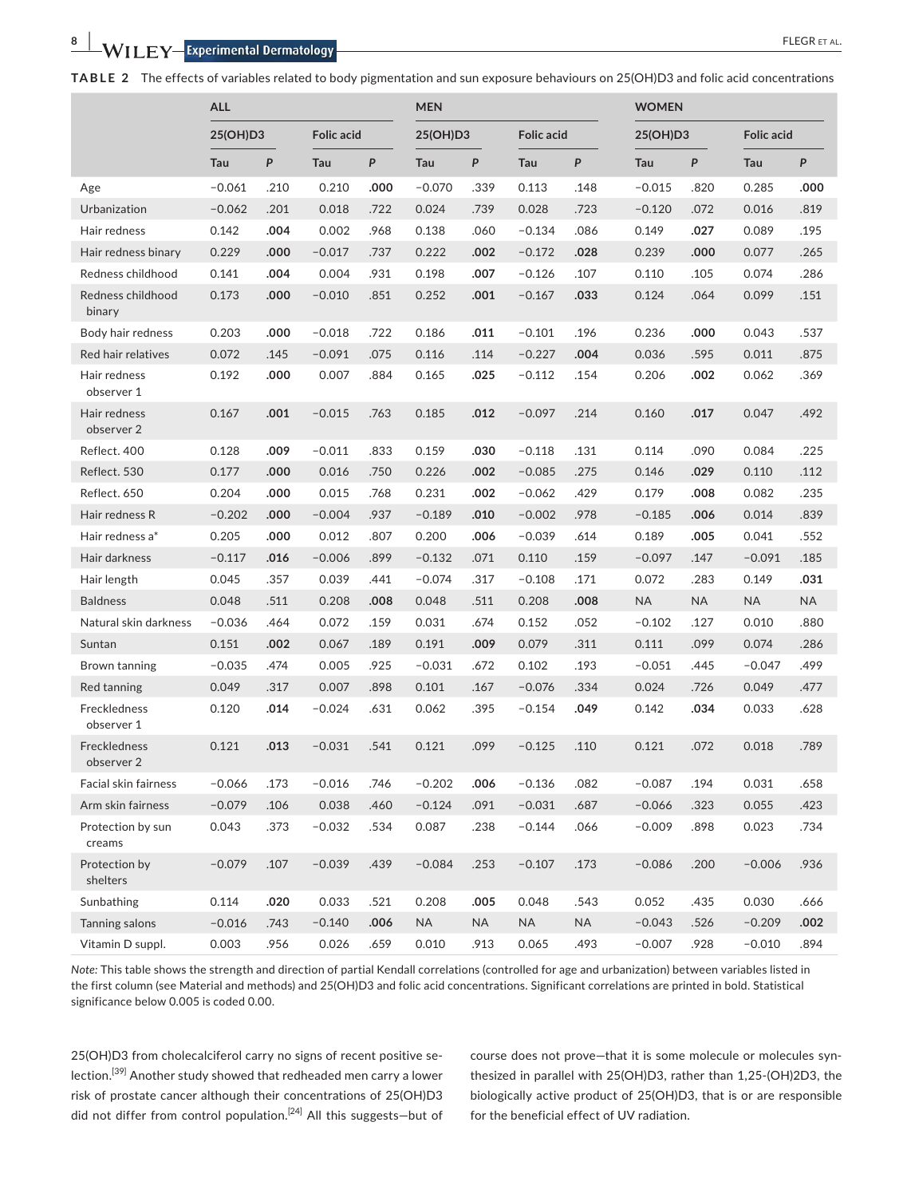**TABLE 2** The effects of variables related to body pigmentation and sun exposure behaviours on 25(OH)D3 and folic acid concentrations

|                             | <b>ALL</b> |      |                   |      | <b>MEN</b> |           |                   |           | <b>WOMEN</b> |      |                   |                  |
|-----------------------------|------------|------|-------------------|------|------------|-----------|-------------------|-----------|--------------|------|-------------------|------------------|
|                             | 25(OH)D3   |      | <b>Folic acid</b> |      | 25(OH)D3   |           | <b>Folic acid</b> |           | 25(OH)D3     |      | <b>Folic acid</b> |                  |
|                             | Tau        | P    | Tau               | P    | Tau        | P         | Tau               | P         | Tau          | P    | Tau               | $\boldsymbol{P}$ |
| Age                         | $-0.061$   | .210 | 0.210             | .000 | $-0.070$   | .339      | 0.113             | .148      | $-0.015$     | .820 | 0.285             | .000             |
| Urbanization                | $-0.062$   | .201 | 0.018             | .722 | 0.024      | .739      | 0.028             | .723      | $-0.120$     | .072 | 0.016             | .819             |
| Hair redness                | 0.142      | .004 | 0.002             | .968 | 0.138      | .060      | $-0.134$          | .086      | 0.149        | .027 | 0.089             | .195             |
| Hair redness binary         | 0.229      | .000 | $-0.017$          | .737 | 0.222      | .002      | $-0.172$          | .028      | 0.239        | .000 | 0.077             | .265             |
| Redness childhood           | 0.141      | .004 | 0.004             | .931 | 0.198      | .007      | $-0.126$          | .107      | 0.110        | .105 | 0.074             | .286             |
| Redness childhood<br>binary | 0.173      | .000 | $-0.010$          | .851 | 0.252      | .001      | $-0.167$          | .033      | 0.124        | .064 | 0.099             | .151             |
| Body hair redness           | 0.203      | .000 | $-0.018$          | .722 | 0.186      | .011      | $-0.101$          | .196      | 0.236        | .000 | 0.043             | .537             |
| Red hair relatives          | 0.072      | .145 | $-0.091$          | .075 | 0.116      | .114      | $-0.227$          | .004      | 0.036        | .595 | 0.011             | .875             |
| Hair redness<br>observer 1  | 0.192      | .000 | 0.007             | .884 | 0.165      | .025      | $-0.112$          | .154      | 0.206        | .002 | 0.062             | .369             |
| Hair redness<br>observer 2  | 0.167      | .001 | $-0.015$          | .763 | 0.185      | .012      | $-0.097$          | .214      | 0.160        | .017 | 0.047             | .492             |
| Reflect. 400                | 0.128      | .009 | $-0.011$          | .833 | 0.159      | .030      | $-0.118$          | .131      | 0.114        | .090 | 0.084             | .225             |
| Reflect. 530                | 0.177      | .000 | 0.016             | .750 | 0.226      | .002      | $-0.085$          | .275      | 0.146        | .029 | 0.110             | .112             |
| Reflect. 650                | 0.204      | .000 | 0.015             | .768 | 0.231      | .002      | $-0.062$          | .429      | 0.179        | .008 | 0.082             | .235             |
| Hair redness R              | $-0.202$   | .000 | $-0.004$          | .937 | $-0.189$   | .010      | $-0.002$          | .978      | $-0.185$     | .006 | 0.014             | .839             |
| Hair redness a*             | 0.205      | .000 | 0.012             | .807 | 0.200      | .006      | $-0.039$          | .614      | 0.189        | .005 | 0.041             | .552             |
| Hair darkness               | $-0.117$   | .016 | $-0.006$          | .899 | $-0.132$   | .071      | 0.110             | .159      | $-0.097$     | .147 | $-0.091$          | .185             |
| Hair length                 | 0.045      | .357 | 0.039             | .441 | $-0.074$   | .317      | $-0.108$          | .171      | 0.072        | .283 | 0.149             | .031             |
| <b>Baldness</b>             | 0.048      | .511 | 0.208             | .008 | 0.048      | .511      | 0.208             | .008      | <b>NA</b>    | NA   | <b>NA</b>         | <b>NA</b>        |
| Natural skin darkness       | $-0.036$   | .464 | 0.072             | .159 | 0.031      | .674      | 0.152             | .052      | $-0.102$     | .127 | 0.010             | .880             |
| Suntan                      | 0.151      | .002 | 0.067             | .189 | 0.191      | .009      | 0.079             | .311      | 0.111        | .099 | 0.074             | .286             |
| Brown tanning               | $-0.035$   | .474 | 0.005             | .925 | $-0.031$   | .672      | 0.102             | .193      | $-0.051$     | .445 | $-0.047$          | .499             |
| Red tanning                 | 0.049      | .317 | 0.007             | .898 | 0.101      | .167      | $-0.076$          | .334      | 0.024        | .726 | 0.049             | .477             |
| Freckledness<br>observer 1  | 0.120      | .014 | $-0.024$          | .631 | 0.062      | .395      | $-0.154$          | .049      | 0.142        | .034 | 0.033             | .628             |
| Freckledness<br>observer 2  | 0.121      | .013 | $-0.031$          | .541 | 0.121      | .099      | $-0.125$          | .110      | 0.121        | .072 | 0.018             | .789             |
| Facial skin fairness        | $-0.066$   | .173 | $-0.016$          | .746 | $-0.202$   | .006      | $-0.136$          | .082      | $-0.087$     | .194 | 0.031             | .658             |
| Arm skin fairness           | $-0.079$   | .106 | 0.038             | .460 | $-0.124$   | .091      | $-0.031$          | .687      | $-0.066$     | .323 | 0.055             | .423             |
| Protection by sun<br>creams | 0.043      | .373 | $-0.032$          | .534 | 0.087      | .238      | $-0.144$          | .066      | $-0.009$     | .898 | 0.023             | .734             |
| Protection by<br>shelters   | $-0.079$   | .107 | $-0.039$          | .439 | $-0.084$   | .253      | $-0.107$          | .173      | $-0.086$     | .200 | $-0.006$          | .936             |
| Sunbathing                  | 0.114      | .020 | 0.033             | .521 | 0.208      | .005      | 0.048             | .543      | 0.052        | .435 | 0.030             | .666             |
| Tanning salons              | $-0.016$   | .743 | $-0.140$          | .006 | <b>NA</b>  | <b>NA</b> | <b>NA</b>         | <b>NA</b> | $-0.043$     | .526 | $-0.209$          | .002             |
| Vitamin D suppl.            | 0.003      | .956 | 0.026             | .659 | 0.010      | .913      | 0.065             | .493      | $-0.007$     | .928 | $-0.010$          | .894             |

*Note:* This table shows the strength and direction of partial Kendall correlations (controlled for age and urbanization) between variables listed in the first column (see Material and methods) and 25(OH)D3 and folic acid concentrations. Significant correlations are printed in bold. Statistical significance below 0.005 is coded 0.00.

25(OH)D3 from cholecalciferol carry no signs of recent positive selection.<sup>[39]</sup> Another study showed that redheaded men carry a lower risk of prostate cancer although their concentrations of 25(OH)D3 did not differ from control population.<sup>[24]</sup> All this suggests-but of course does not prove—that it is some molecule or molecules synthesized in parallel with 25(OH)D3, rather than 1,25-(OH)2D3, the biologically active product of 25(OH)D3, that is or are responsible for the beneficial effect of UV radiation.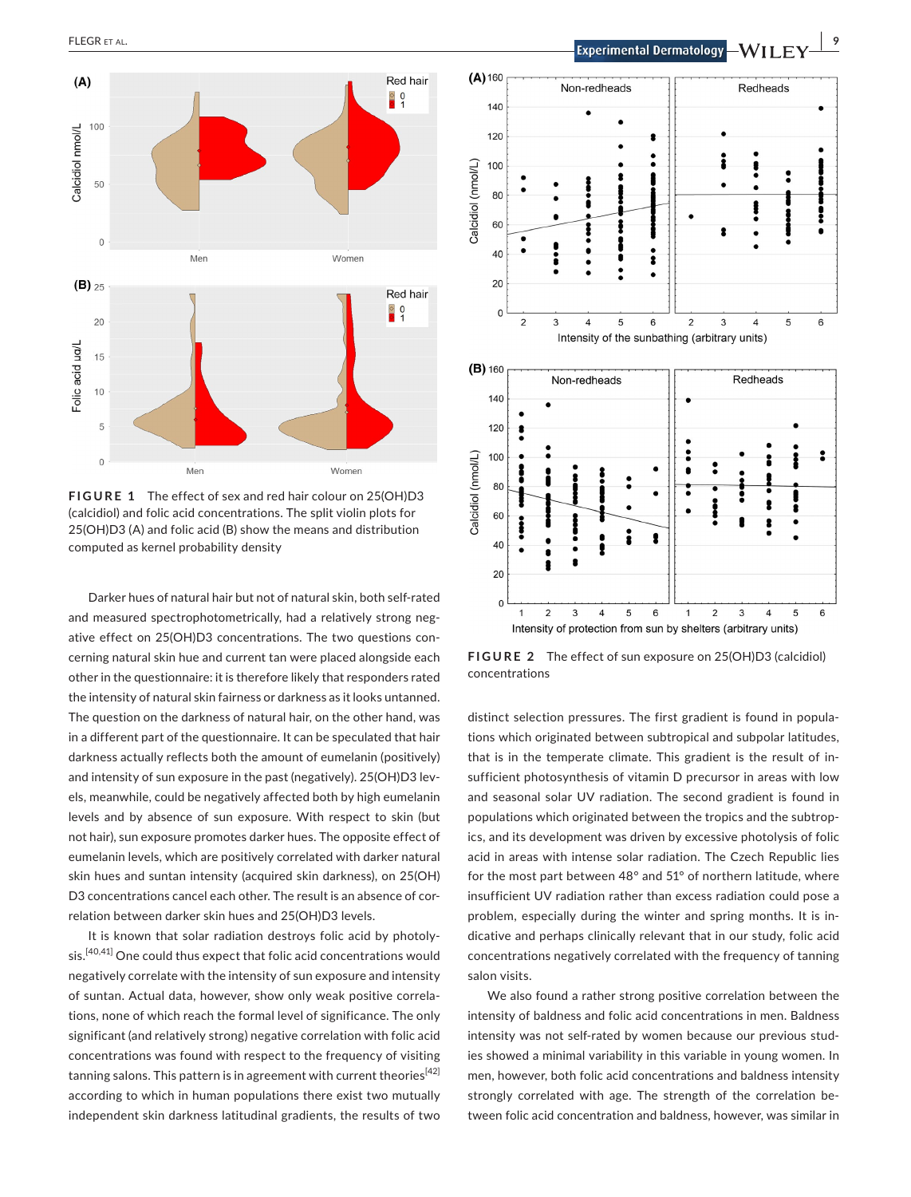

**FIGURE 1** The effect of sex and red hair colour on 25(OH)D3 (calcidiol) and folic acid concentrations. The split violin plots for 25(OH)D3 (A) and folic acid (B) show the means and distribution computed as kernel probability density

Darker hues of natural hair but not of natural skin, both self-rated and measured spectrophotometrically, had a relatively strong negative effect on 25(OH)D3 concentrations. The two questions concerning natural skin hue and current tan were placed alongside each other in the questionnaire: it is therefore likely that responders rated the intensity of natural skin fairness or darkness as it looks untanned. The question on the darkness of natural hair, on the other hand, was in a different part of the questionnaire. It can be speculated that hair darkness actually reflects both the amount of eumelanin (positively) and intensity of sun exposure in the past (negatively). 25(OH)D3 levels, meanwhile, could be negatively affected both by high eumelanin levels and by absence of sun exposure. With respect to skin (but not hair), sun exposure promotes darker hues. The opposite effect of eumelanin levels, which are positively correlated with darker natural skin hues and suntan intensity (acquired skin darkness), on 25(OH) D3 concentrations cancel each other. The result is an absence of correlation between darker skin hues and 25(OH)D3 levels.

It is known that solar radiation destroys folic acid by photolysis.[40,41] One could thus expect that folic acid concentrations would negatively correlate with the intensity of sun exposure and intensity of suntan. Actual data, however, show only weak positive correlations, none of which reach the formal level of significance. The only significant (and relatively strong) negative correlation with folic acid concentrations was found with respect to the frequency of visiting tanning salons. This pattern is in agreement with current theories<sup>[42]</sup> according to which in human populations there exist two mutually independent skin darkness latitudinal gradients, the results of two



**FIGURE 2** The effect of sun exposure on 25(OH)D3 (calcidiol) concentrations

distinct selection pressures. The first gradient is found in populations which originated between subtropical and subpolar latitudes, that is in the temperate climate. This gradient is the result of insufficient photosynthesis of vitamin D precursor in areas with low and seasonal solar UV radiation. The second gradient is found in populations which originated between the tropics and the subtropics, and its development was driven by excessive photolysis of folic acid in areas with intense solar radiation. The Czech Republic lies for the most part between 48° and 51° of northern latitude, where insufficient UV radiation rather than excess radiation could pose a problem, especially during the winter and spring months. It is indicative and perhaps clinically relevant that in our study, folic acid concentrations negatively correlated with the frequency of tanning salon visits.

We also found a rather strong positive correlation between the intensity of baldness and folic acid concentrations in men. Baldness intensity was not self-rated by women because our previous studies showed a minimal variability in this variable in young women. In men, however, both folic acid concentrations and baldness intensity strongly correlated with age. The strength of the correlation between folic acid concentration and baldness, however, was similar in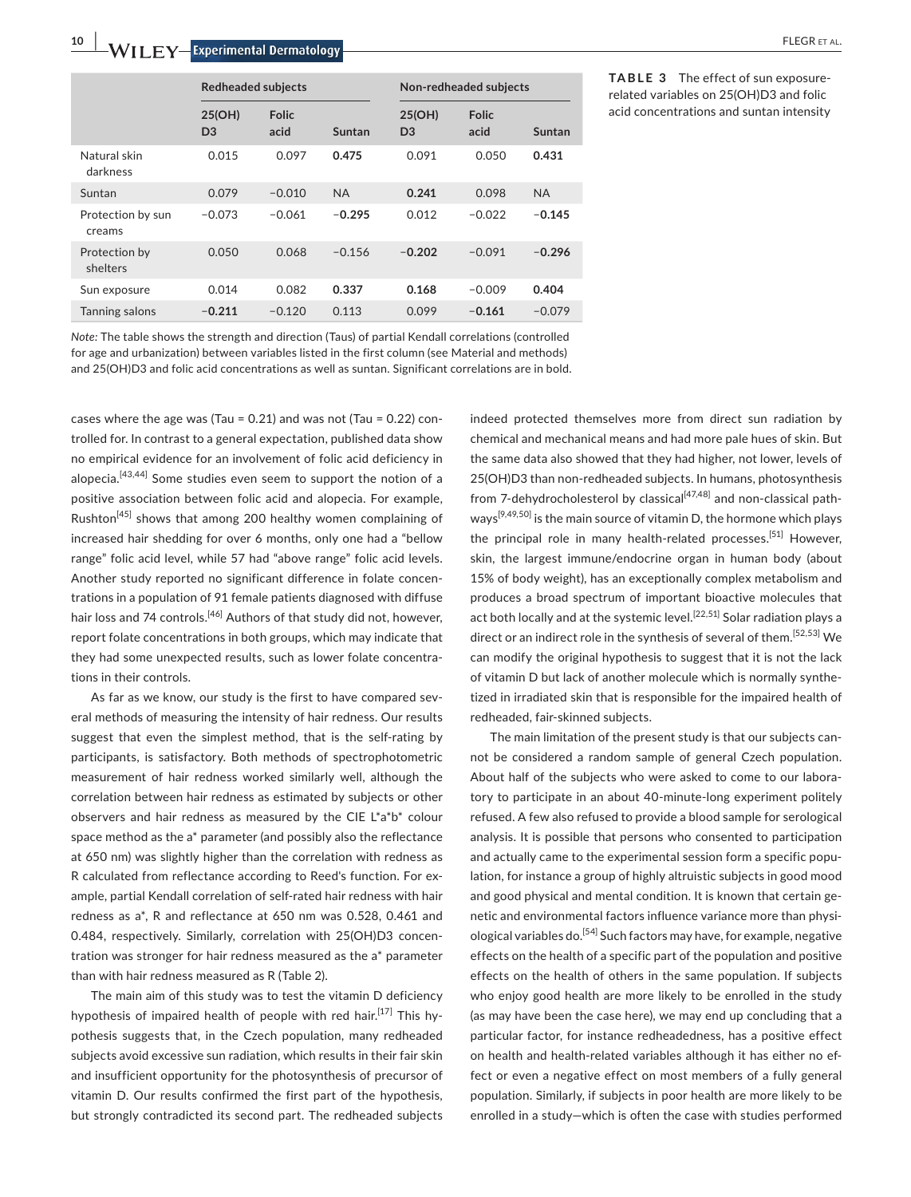**10 |**  FLEGR et al.

|                             | <b>Redheaded subjects</b> |                      |           |                          | Non-redheaded subjects |           |
|-----------------------------|---------------------------|----------------------|-----------|--------------------------|------------------------|-----------|
|                             | 25(OH)<br>D <sub>3</sub>  | <b>Folic</b><br>acid | Suntan    | 25(OH)<br>D <sub>3</sub> | <b>Folic</b><br>acid   | Suntan    |
| Natural skin<br>darkness    | 0.015                     | 0.097                | 0.475     | 0.091                    | 0.050                  | 0.431     |
| Suntan                      | 0.079                     | $-0.010$             | <b>NA</b> | 0.241                    | 0.098                  | <b>NA</b> |
| Protection by sun<br>creams | $-0.073$                  | $-0.061$             | $-0.295$  | 0.012                    | $-0.022$               | $-0.145$  |
| Protection by<br>shelters   | 0.050                     | 0.068                | $-0.156$  | $-0.202$                 | $-0.091$               | $-0.296$  |
| Sun exposure                | 0.014                     | 0.082                | 0.337     | 0.168                    | $-0.009$               | 0.404     |
| <b>Tanning salons</b>       | $-0.211$                  | $-0.120$             | 0.113     | 0.099                    | $-0.161$               | $-0.079$  |

**TABLE 3** The effect of sun exposurerelated variables on 25(OH)D3 and folic acid concentrations and suntan intensity

*Note:* The table shows the strength and direction (Taus) of partial Kendall correlations (controlled for age and urbanization) between variables listed in the first column (see Material and methods) and 25(OH)D3 and folic acid concentrations as well as suntan. Significant correlations are in bold.

cases where the age was (Tau = 0.21) and was not (Tau = 0.22) controlled for. In contrast to a general expectation, published data show no empirical evidence for an involvement of folic acid deficiency in alopecia.<sup>[43,44]</sup> Some studies even seem to support the notion of a positive association between folic acid and alopecia. For example, Rushton<sup>[45]</sup> shows that among 200 healthy women complaining of increased hair shedding for over 6 months, only one had a "bellow range" folic acid level, while 57 had "above range" folic acid levels. Another study reported no significant difference in folate concentrations in a population of 91 female patients diagnosed with diffuse hair loss and 74 controls.<sup>[46]</sup> Authors of that study did not, however, report folate concentrations in both groups, which may indicate that they had some unexpected results, such as lower folate concentrations in their controls.

As far as we know, our study is the first to have compared several methods of measuring the intensity of hair redness. Our results suggest that even the simplest method, that is the self-rating by participants, is satisfactory. Both methods of spectrophotometric measurement of hair redness worked similarly well, although the correlation between hair redness as estimated by subjects or other observers and hair redness as measured by the CIE L\*a\*b\* colour space method as the a\* parameter (and possibly also the reflectance at 650 nm) was slightly higher than the correlation with redness as R calculated from reflectance according to Reed's function. For example, partial Kendall correlation of self-rated hair redness with hair redness as a\*, R and reflectance at 650 nm was 0.528, 0.461 and 0.484, respectively. Similarly, correlation with 25(OH)D3 concentration was stronger for hair redness measured as the a\* parameter than with hair redness measured as R (Table 2).

The main aim of this study was to test the vitamin D deficiency hypothesis of impaired health of people with red hair.<sup>[17]</sup> This hypothesis suggests that, in the Czech population, many redheaded subjects avoid excessive sun radiation, which results in their fair skin and insufficient opportunity for the photosynthesis of precursor of vitamin D. Our results confirmed the first part of the hypothesis, but strongly contradicted its second part. The redheaded subjects indeed protected themselves more from direct sun radiation by chemical and mechanical means and had more pale hues of skin. But the same data also showed that they had higher, not lower, levels of 25(OH)D3 than non-redheaded subjects. In humans, photosynthesis from 7-dehydrocholesterol by classical<sup>[47,48]</sup> and non-classical pathways<sup>[9,49,50]</sup> is the main source of vitamin D, the hormone which plays the principal role in many health-related processes.<sup>[51]</sup> However, skin, the largest immune/endocrine organ in human body (about 15% of body weight), has an exceptionally complex metabolism and produces a broad spectrum of important bioactive molecules that act both locally and at the systemic level.<sup>[22,51]</sup> Solar radiation plays a direct or an indirect role in the synthesis of several of them.<sup>[52,53]</sup> We can modify the original hypothesis to suggest that it is not the lack of vitamin D but lack of another molecule which is normally synthetized in irradiated skin that is responsible for the impaired health of redheaded, fair-skinned subjects.

The main limitation of the present study is that our subjects cannot be considered a random sample of general Czech population. About half of the subjects who were asked to come to our laboratory to participate in an about 40-minute-long experiment politely refused. A few also refused to provide a blood sample for serological analysis. It is possible that persons who consented to participation and actually came to the experimental session form a specific population, for instance a group of highly altruistic subjects in good mood and good physical and mental condition. It is known that certain genetic and environmental factors influence variance more than physiological variables do.<sup>[54]</sup> Such factors may have, for example, negative effects on the health of a specific part of the population and positive effects on the health of others in the same population. If subjects who enjoy good health are more likely to be enrolled in the study (as may have been the case here), we may end up concluding that a particular factor, for instance redheadedness, has a positive effect on health and health-related variables although it has either no effect or even a negative effect on most members of a fully general population. Similarly, if subjects in poor health are more likely to be enrolled in a study—which is often the case with studies performed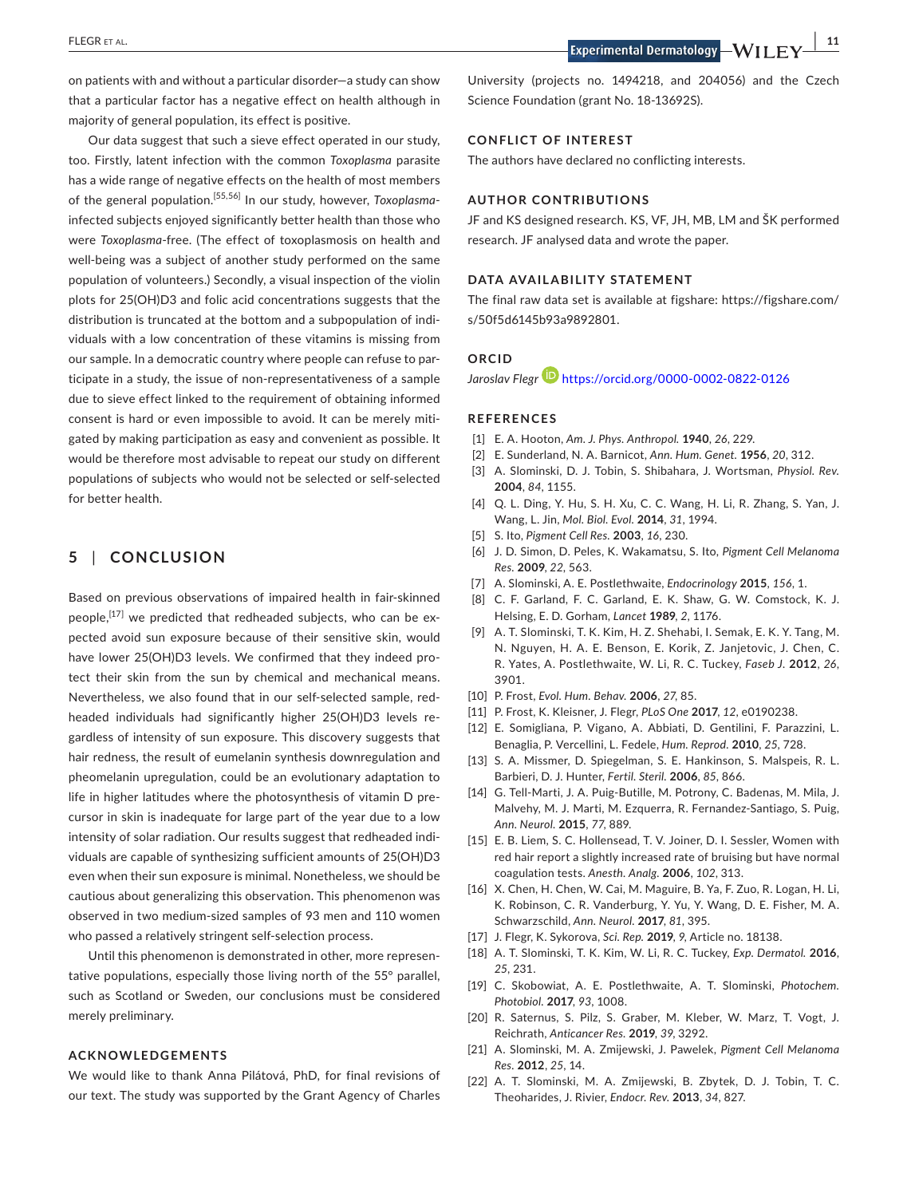**|** FLEGR et al. **11**

on patients with and without a particular disorder—a study can show that a particular factor has a negative effect on health although in majority of general population, its effect is positive.

Our data suggest that such a sieve effect operated in our study, too. Firstly, latent infection with the common *Toxoplasma* parasite has a wide range of negative effects on the health of most members of the general population.[55,56] In our study, however, *Toxoplasma*infected subjects enjoyed significantly better health than those who were *Toxoplasma*-free. (The effect of toxoplasmosis on health and well-being was a subject of another study performed on the same population of volunteers.) Secondly, a visual inspection of the violin plots for 25(OH)D3 and folic acid concentrations suggests that the distribution is truncated at the bottom and a subpopulation of individuals with a low concentration of these vitamins is missing from our sample. In a democratic country where people can refuse to participate in a study, the issue of non-representativeness of a sample due to sieve effect linked to the requirement of obtaining informed consent is hard or even impossible to avoid. It can be merely mitigated by making participation as easy and convenient as possible. It would be therefore most advisable to repeat our study on different populations of subjects who would not be selected or self-selected for better health.

# **5** | **CONCLUSION**

Based on previous observations of impaired health in fair-skinned people,<sup>[17]</sup> we predicted that redheaded subjects, who can be expected avoid sun exposure because of their sensitive skin, would have lower 25(OH)D3 levels. We confirmed that they indeed protect their skin from the sun by chemical and mechanical means. Nevertheless, we also found that in our self-selected sample, redheaded individuals had significantly higher 25(OH)D3 levels regardless of intensity of sun exposure. This discovery suggests that hair redness, the result of eumelanin synthesis downregulation and pheomelanin upregulation, could be an evolutionary adaptation to life in higher latitudes where the photosynthesis of vitamin D precursor in skin is inadequate for large part of the year due to a low intensity of solar radiation. Our results suggest that redheaded individuals are capable of synthesizing sufficient amounts of 25(OH)D3 even when their sun exposure is minimal. Nonetheless, we should be cautious about generalizing this observation. This phenomenon was observed in two medium-sized samples of 93 men and 110 women who passed a relatively stringent self-selection process.

Until this phenomenon is demonstrated in other, more representative populations, especially those living north of the 55° parallel, such as Scotland or Sweden, our conclusions must be considered merely preliminary.

# **ACKNOWLEDGEMENTS**

We would like to thank Anna Pilátová, PhD, for final revisions of our text. The study was supported by the Grant Agency of Charles University (projects no. 1494218, and 204056) and the Czech Science Foundation (grant No. 18-13692S).

## **CONFLICT OF INTEREST**

The authors have declared no conflicting interests.

# **AUTHOR CONTRIBUTIONS**

JF and KS designed research. KS, VF, JH, MB, LM and ŠK performed research. JF analysed data and wrote the paper.

#### **DATA AVAILABILITY STATEMENT**

The final raw data set is available at figshare: [https://figshare.com/](https://figshare.com/s/50f5d6145b93a9892801) [s/50f5d6145b93a9892801](https://figshare.com/s/50f5d6145b93a9892801).

# **ORCID**

*Jaroslav Flegr* <https://orcid.org/0000-0002-0822-0126>

#### **REFERENCES**

- [1] E. A. Hooton, *Am. J. Phys. Anthropol.* **1940**, *26*, 229.
- [2] E. Sunderland, N. A. Barnicot, *Ann. Hum. Genet.* **1956**, *20*, 312.
- [3] A. Slominski, D. J. Tobin, S. Shibahara, J. Wortsman, *Physiol. Rev.* **2004**, *84*, 1155.
- [4] Q. L. Ding, Y. Hu, S. H. Xu, C. C. Wang, H. Li, R. Zhang, S. Yan, J. Wang, L. Jin, *Mol. Biol. Evol.* **2014**, *31*, 1994.
- [5] S. Ito, *Pigment Cell Res.* **2003**, *16*, 230.
- [6] J. D. Simon, D. Peles, K. Wakamatsu, S. Ito, *Pigment Cell Melanoma Res.* **2009**, *22*, 563.
- [7] A. Slominski, A. E. Postlethwaite, *Endocrinology* **2015**, *156*, 1.
- [8] C. F. Garland, F. C. Garland, E. K. Shaw, G. W. Comstock, K. J. Helsing, E. D. Gorham, *Lancet* **1989**, *2*, 1176.
- [9] A. T. Slominski, T. K. Kim, H. Z. Shehabi, I. Semak, E. K. Y. Tang, M. N. Nguyen, H. A. E. Benson, E. Korik, Z. Janjetovic, J. Chen, C. R. Yates, A. Postlethwaite, W. Li, R. C. Tuckey, *Faseb J.* **2012**, *26*, 3901.
- [10] P. Frost, *Evol. Hum. Behav.* **2006**, *27*, 85.
- [11] P. Frost, K. Kleisner, J. Flegr, *PLoS One* **2017**, *12*, e0190238.
- [12] E. Somigliana, P. Vigano, A. Abbiati, D. Gentilini, F. Parazzini, L. Benaglia, P. Vercellini, L. Fedele, *Hum. Reprod.* **2010**, *25*, 728.
- [13] S. A. Missmer, D. Spiegelman, S. E. Hankinson, S. Malspeis, R. L. Barbieri, D. J. Hunter, *Fertil. Steril.* **2006**, *85*, 866.
- [14] G. Tell-Marti, J. A. Puig-Butille, M. Potrony, C. Badenas, M. Mila, J. Malvehy, M. J. Marti, M. Ezquerra, R. Fernandez-Santiago, S. Puig, *Ann. Neurol.* **2015**, *77*, 889.
- [15] E. B. Liem, S. C. Hollensead, T. V. Joiner, D. I. Sessler, Women with red hair report a slightly increased rate of bruising but have normal coagulation tests. *Anesth. Analg.* **2006**, *102*, 313.
- [16] X. Chen, H. Chen, W. Cai, M. Maguire, B. Ya, F. Zuo, R. Logan, H. Li, K. Robinson, C. R. Vanderburg, Y. Yu, Y. Wang, D. E. Fisher, M. A. Schwarzschild, *Ann. Neurol.* **2017**, *81*, 395.
- [17] J. Flegr, K. Sykorova, *Sci. Rep.* **2019**, *9*, Article no. 18138.
- [18] A. T. Slominski, T. K. Kim, W. Li, R. C. Tuckey, *Exp. Dermatol.* **2016**, *25*, 231.
- [19] C. Skobowiat, A. E. Postlethwaite, A. T. Slominski, *Photochem. Photobiol.* **2017**, *93*, 1008.
- [20] R. Saternus, S. Pilz, S. Graber, M. Kleber, W. Marz, T. Vogt, J. Reichrath, *Anticancer Res.* **2019**, *39*, 3292.
- [21] A. Slominski, M. A. Zmijewski, J. Pawelek, *Pigment Cell Melanoma Res.* **2012**, *25*, 14.
- [22] A. T. Slominski, M. A. Zmijewski, B. Zbytek, D. J. Tobin, T. C. Theoharides, J. Rivier, *Endocr. Rev.* **2013**, *34*, 827.